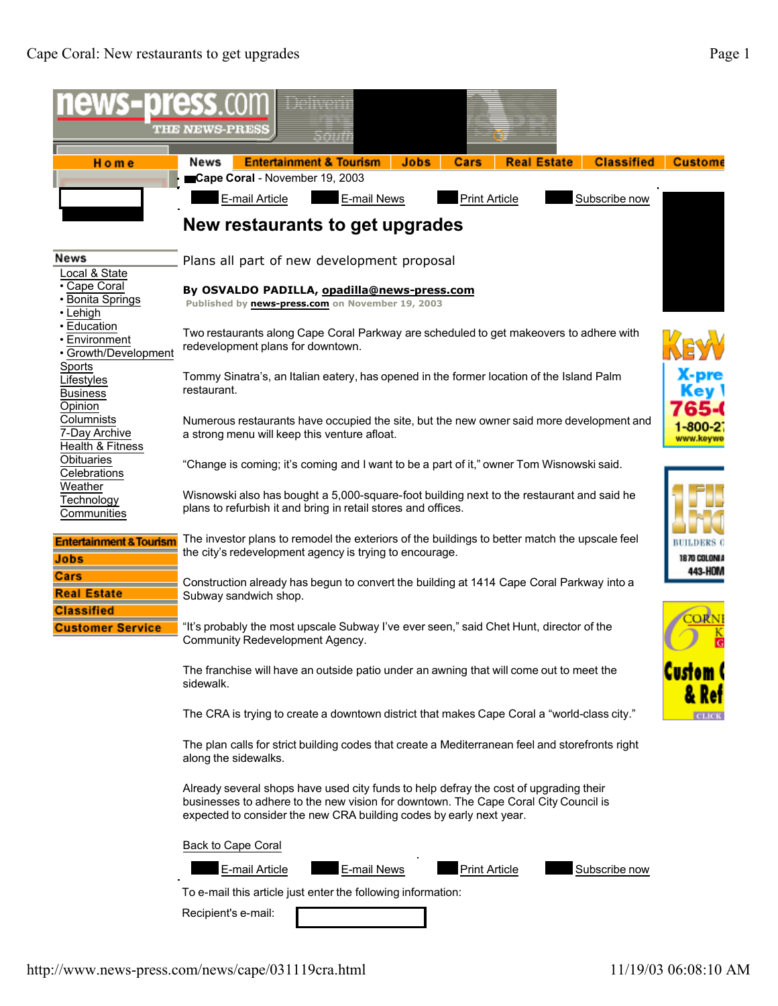